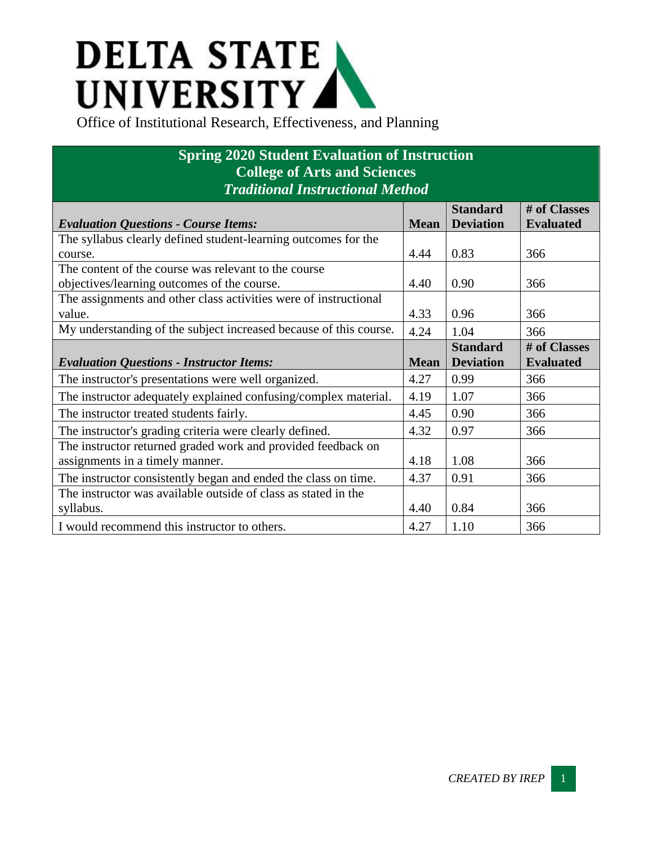## **DELTA STATE** UNIVERSITY

## **Spring 2020 Student Evaluation of Instruction College of Arts and Sciences** *Traditional Instructional Method*

|                                                                   |             | <b>Standard</b>  | # of Classes     |
|-------------------------------------------------------------------|-------------|------------------|------------------|
| <b>Evaluation Questions - Course Items:</b>                       | <b>Mean</b> | <b>Deviation</b> | <b>Evaluated</b> |
| The syllabus clearly defined student-learning outcomes for the    |             |                  |                  |
| course.                                                           | 4.44        | 0.83             | 366              |
| The content of the course was relevant to the course              |             |                  |                  |
| objectives/learning outcomes of the course.                       | 4.40        | 0.90             | 366              |
| The assignments and other class activities were of instructional  |             |                  |                  |
| value.                                                            | 4.33        | 0.96             | 366              |
| My understanding of the subject increased because of this course. | 4.24        | 1.04             | 366              |
|                                                                   |             | <b>Standard</b>  | # of Classes     |
| <b>Evaluation Questions - Instructor Items:</b>                   | <b>Mean</b> | <b>Deviation</b> | <b>Evaluated</b> |
| The instructor's presentations were well organized.               | 4.27        | 0.99             | 366              |
| The instructor adequately explained confusing/complex material.   | 4.19        | 1.07             | 366              |
| The instructor treated students fairly.                           | 4.45        | 0.90             | 366              |
| The instructor's grading criteria were clearly defined.           | 4.32        | 0.97             | 366              |
| The instructor returned graded work and provided feedback on      |             |                  |                  |
| assignments in a timely manner.                                   | 4.18        | 1.08             | 366              |
| The instructor consistently began and ended the class on time.    | 4.37        | 0.91             | 366              |
| The instructor was available outside of class as stated in the    |             |                  |                  |
| syllabus.                                                         | 4.40        | 0.84             | 366              |
| I would recommend this instructor to others.                      | 4.27        | 1.10             | 366              |